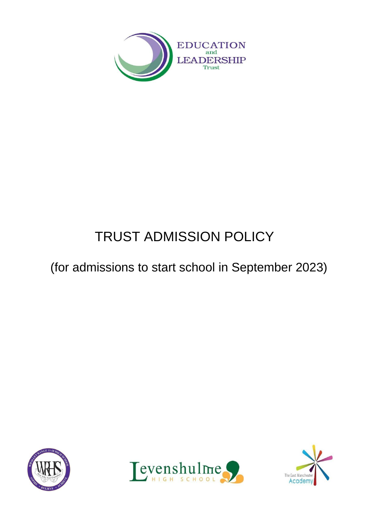

# TRUST ADMISSION POLICY

## (for admissions to start school in September 2023)





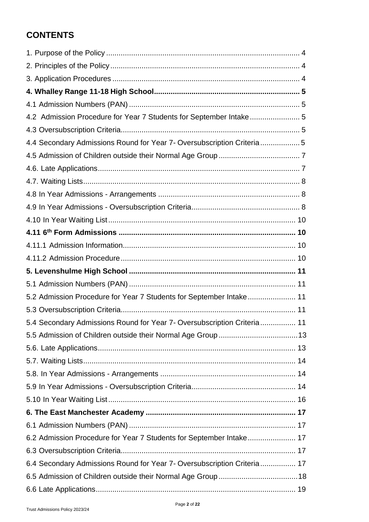### **CONTENTS**

| 4.2 Admission Procedure for Year 7 Students for September Intake 5       |
|--------------------------------------------------------------------------|
|                                                                          |
| 4.4 Secondary Admissions Round for Year 7- Oversubscription Criteria5    |
|                                                                          |
|                                                                          |
|                                                                          |
|                                                                          |
|                                                                          |
|                                                                          |
|                                                                          |
|                                                                          |
|                                                                          |
|                                                                          |
|                                                                          |
| 5.2 Admission Procedure for Year 7 Students for September Intake 11      |
|                                                                          |
| 5.4 Secondary Admissions Round for Year 7- Oversubscription Criteria 11  |
|                                                                          |
|                                                                          |
|                                                                          |
|                                                                          |
|                                                                          |
|                                                                          |
|                                                                          |
|                                                                          |
| 6.2 Admission Procedure for Year 7 Students for September Intake 17      |
|                                                                          |
| 6.4 Secondary Admissions Round for Year 7- Oversubscription Criteria  17 |
|                                                                          |
|                                                                          |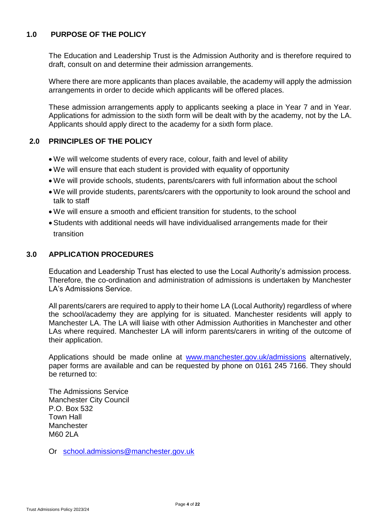#### **1.0 PURPOSE OF THE POLICY**

The Education and Leadership Trust is the Admission Authority and is therefore required to draft, consult on and determine their admission arrangements.

Where there are more applicants than places available, the academy will apply the admission arrangements in order to decide which applicants will be offered places.

These admission arrangements apply to applicants seeking a place in Year 7 and in Year. Applications for admission to the sixth form will be dealt with by the academy, not by the LA. Applicants should apply direct to the academy for a sixth form place.

#### **2.0 PRINCIPLES OF THE POLICY**

- We will welcome students of every race, colour, faith and level of ability
- We will ensure that each student is provided with equality of opportunity
- We will provide schools, students, parents/carers with full information about the school
- We will provide students, parents/carers with the opportunity to look around the school and talk to staff
- We will ensure a smooth and efficient transition for students, to the school
- Students with additional needs will have individualised arrangements made for their transition

#### **3.0 APPLICATION PROCEDURES**

Education and Leadership Trust has elected to use the Local Authority's admission process. Therefore, the co-ordination and administration of admissions is undertaken by Manchester LA's Admissions Service.

All parents/carers are required to apply to their home LA (Local Authority) regardless of where the school/academy they are applying for is situated. Manchester residents will apply to Manchester LA. The LA will liaise with other Admission Authorities in Manchester and other LAs where required. Manchester LA will inform parents/carers in writing of the outcome of their application.

Applications should be made online at [www.manchester.gov.uk/admissions](http://www.manchester.gov.uk/admissions) alternatively, paper forms are available and can be requested by phone on 0161 245 7166. They should be returned to:

The Admissions Service Manchester City Council P.O. Box 532 Town Hall **Manchester** M60 2LA

Or [school.admissions@manchester.gov.uk](mailto:school.admissions@manchester.gov.uk)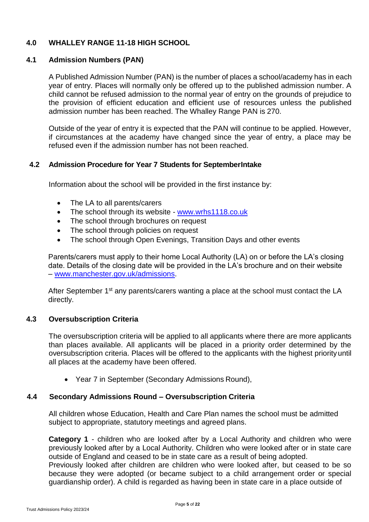#### **4.0 WHALLEY RANGE 11-18 HIGH SCHOOL**

#### <span id="page-4-0"></span>**4.1 Admission Numbers (PAN)**

A Published Admission Number (PAN) is the number of places a school/academy has in each year of entry. Places will normally only be offered up to the published admission number. A child cannot be refused admission to the normal year of entry on the grounds of prejudice to the provision of efficient education and efficient use of resources unless the published admission number has been reached. The Whalley Range PAN is 270.

Outside of the year of entry it is expected that the PAN will continue to be applied. However, if circumstances at the academy have changed since the year of entry, a place may be refused even if the admission number has not been reached.

#### <span id="page-4-1"></span>**4.2 Admission Procedure for Year 7 Students for SeptemberIntake**

Information about the school will be provided in the first instance by:

- The LA to all parents/carers
- The school through its website [www.wrhs1118.co.uk](http://www.wrhs1118.co.uk/)
- The school through brochures on request
- The school through policies on request
- The school through Open Evenings, Transition Days and other events

Parents/carers must apply to their home Local Authority (LA) on or before the LA's closing date. Details of the closing date will be provided in the LA's brochure and on their website – [www.manchester.gov.uk/admissions.](http://www.manchester.gov.uk/admissions)

After September 1<sup>st</sup> any parents/carers wanting a place at the school must contact the LA directly.

#### <span id="page-4-2"></span>**4.3 Oversubscription Criteria**

The oversubscription criteria will be applied to all applicants where there are more applicants than places available. All applicants will be placed in a priority order determined by the oversubscription criteria. Places will be offered to the applicants with the highest priorityuntil all places at the academy have been offered.

• Year 7 in September (Secondary Admissions Round),

#### **4.4 Secondary Admissions Round – Oversubscription Criteria**

All children whose Education, Health and Care Plan names the school must be admitted subject to appropriate, statutory meetings and agreed plans.

**Category 1** - children who are looked after by a Local Authority and children who were previously looked after by a Local Authority. Children who were looked after or in state care outside of England and ceased to be in state care as a result of being adopted.

Previously looked after children are children who were looked after, but ceased to be so because they were adopted (or became subject to a child arrangement order or special guardianship order). A child is regarded as having been in state care in a place outside of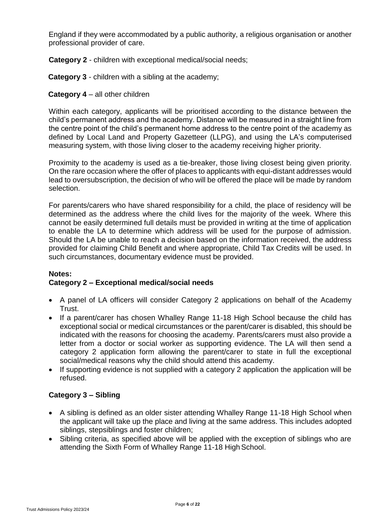England if they were accommodated by a public authority, a religious organisation or another professional provider of care.

**Category 2** - children with exceptional medical/social needs;

**Category 3** - children with a sibling at the academy;

#### **Category 4** – all other children

Within each category, applicants will be prioritised according to the distance between the child's permanent address and the academy. Distance will be measured in a straight line from the centre point of the child's permanent home address to the centre point of the academy as defined by Local Land and Property Gazetteer (LLPG), and using the LA's computerised measuring system, with those living closer to the academy receiving higher priority.

Proximity to the academy is used as a tie-breaker, those living closest being given priority. On the rare occasion where the offer of places to applicants with equi-distant addresses would lead to oversubscription, the decision of who will be offered the place will be made by random selection.

For parents/carers who have shared responsibility for a child, the place of residency will be determined as the address where the child lives for the majority of the week. Where this cannot be easily determined full details must be provided in writing at the time of application to enable the LA to determine which address will be used for the purpose of admission. Should the LA be unable to reach a decision based on the information received, the address provided for claiming Child Benefit and where appropriate, Child Tax Credits will be used. In such circumstances, documentary evidence must be provided.

#### **Notes: Category 2 – Exceptional medical/social needs**

- A panel of LA officers will consider Category 2 applications on behalf of the Academy Trust.
- If a parent/carer has chosen Whalley Range 11-18 High School because the child has exceptional social or medical circumstances or the parent/carer is disabled, this should be indicated with the reasons for choosing the academy. Parents/carers must also provide a letter from a doctor or social worker as supporting evidence. The LA will then send a category 2 application form allowing the parent/carer to state in full the exceptional social/medical reasons why the child should attend this academy.
- If supporting evidence is not supplied with a category 2 application the application will be refused.

#### **Category 3 – Sibling**

- A sibling is defined as an older sister attending Whalley Range 11-18 High School when the applicant will take up the place and living at the same address. This includes adopted siblings, stepsiblings and foster children;
- Sibling criteria, as specified above will be applied with the exception of siblings who are attending the Sixth Form of Whalley Range 11-18 High School.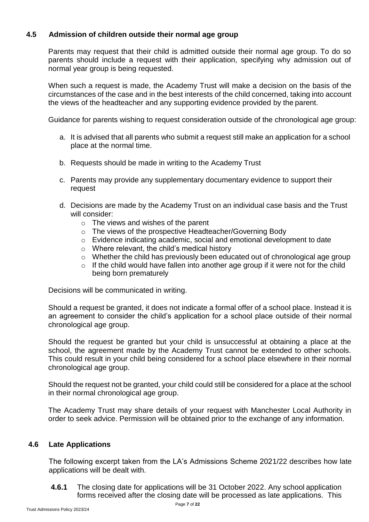#### <span id="page-6-0"></span>**4.5 Admission of children outside their normal age group**

Parents may request that their child is admitted outside their normal age group. To do so parents should include a request with their application, specifying why admission out of normal year group is being requested.

When such a request is made, the Academy Trust will make a decision on the basis of the circumstances of the case and in the best interests of the child concerned, taking into account the views of the headteacher and any supporting evidence provided by the parent.

Guidance for parents wishing to request consideration outside of the chronological age group:

- a. It is advised that all parents who submit a request still make an application for a school place at the normal time.
- b. Requests should be made in writing to the Academy Trust
- c. Parents may provide any supplementary documentary evidence to support their request
- d. Decisions are made by the Academy Trust on an individual case basis and the Trust will consider:
	- $\circ$  The views and wishes of the parent
	- o The views of the prospective Headteacher/Governing Body
	- o Evidence indicating academic, social and emotional development to date
	- o Where relevant, the child's medical history
	- o Whether the child has previously been educated out of chronological age group
	- $\circ$  If the child would have fallen into another age group if it were not for the child being born prematurely

Decisions will be communicated in writing.

Should a request be granted, it does not indicate a formal offer of a school place. Instead it is an agreement to consider the child's application for a school place outside of their normal chronological age group.

Should the request be granted but your child is unsuccessful at obtaining a place at the school, the agreement made by the Academy Trust cannot be extended to other schools. This could result in your child being considered for a school place elsewhere in their normal chronological age group.

Should the request not be granted, your child could still be considered for a place at the school in their normal chronological age group.

The Academy Trust may share details of your request with Manchester Local Authority in order to seek advice. Permission will be obtained prior to the exchange of any information.

#### <span id="page-6-1"></span>**4.6 Late Applications**

The following excerpt taken from the LA's Admissions Scheme 2021/22 describes how late applications will be dealt with.

**4.6.1** The closing date for applications will be 31 October 2022. Any school application forms received after the closing date will be processed as late applications. This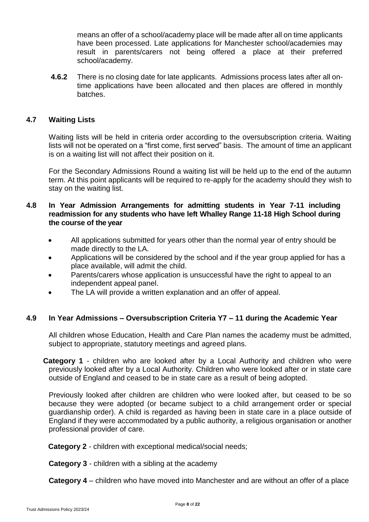means an offer of a school/academy place will be made after all on time applicants have been processed. Late applications for Manchester school/academies may result in parents/carers not being offered a place at their preferred school/academy.

**4.6.2** There is no closing date for late applicants. Admissions process lates after all ontime applications have been allocated and then places are offered in monthly batches.

#### <span id="page-7-0"></span>**4.7 Waiting Lists**

Waiting lists will be held in criteria order according to the oversubscription criteria. Waiting lists will not be operated on a "first come, first served" basis. The amount of time an applicant is on a waiting list will not affect their position on it.

For the Secondary Admissions Round a waiting list will be held up to the end of the autumn term. At this point applicants will be required to re-apply for the academy should they wish to stay on the waiting list.

#### **4.8 In Year Admission Arrangements for admitting students in Year 7-11 including readmission for any students who have left Whalley Range 11-18 High School during the course of the year**

- All applications submitted for years other than the normal year of entry should be made directly to the LA.
- Applications will be considered by the school and if the year group applied for has a place available, will admit the child.
- Parents/carers whose application is unsuccessful have the right to appeal to an independent appeal panel.
- The LA will provide a written explanation and an offer of appeal.

#### **4.9 In Year Admissions – Oversubscription Criteria Y7 – 11 during the Academic Year**

All children whose Education, Health and Care Plan names the academy must be admitted, subject to appropriate, statutory meetings and agreed plans.

**Category 1** - children who are looked after by a Local Authority and children who were previously looked after by a Local Authority. Children who were looked after or in state care outside of England and ceased to be in state care as a result of being adopted.

Previously looked after children are children who were looked after, but ceased to be so because they were adopted (or became subject to a child arrangement order or special guardianship order). A child is regarded as having been in state care in a place outside of England if they were accommodated by a public authority, a religious organisation or another professional provider of care.

**Category 2** - children with exceptional medical/social needs;

**Category 3** - children with a sibling at the academy

**Category 4** *–* children who have moved into Manchester and are without an offer of a place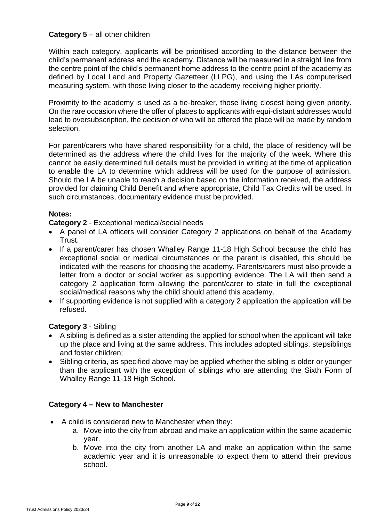#### **Category 5** – all other children

Within each category, applicants will be prioritised according to the distance between the child's permanent address and the academy. Distance will be measured in a straight line from the centre point of the child's permanent home address to the centre point of the academy as defined by Local Land and Property Gazetteer (LLPG), and using the LAs computerised measuring system, with those living closer to the academy receiving higher priority.

Proximity to the academy is used as a tie-breaker, those living closest being given priority. On the rare occasion where the offer of places to applicants with equi-distant addresses would lead to oversubscription, the decision of who will be offered the place will be made by random selection.

For parent/carers who have shared responsibility for a child, the place of residency will be determined as the address where the child lives for the majority of the week. Where this cannot be easily determined full details must be provided in writing at the time of application to enable the LA to determine which address will be used for the purpose of admission. Should the LA be unable to reach a decision based on the information received, the address provided for claiming Child Benefit and where appropriate, Child Tax Credits will be used. In such circumstances, documentary evidence must be provided.

#### **Notes:**

#### **Category 2** - Exceptional medical/social needs

- A panel of LA officers will consider Category 2 applications on behalf of the Academy Trust.
- If a parent/carer has chosen Whalley Range 11-18 High School because the child has exceptional social or medical circumstances or the parent is disabled, this should be indicated with the reasons for choosing the academy. Parents/carers must also provide a letter from a doctor or social worker as supporting evidence. The LA will then send a category 2 application form allowing the parent/carer to state in full the exceptional social/medical reasons why the child should attend this academy.
- If supporting evidence is not supplied with a category 2 application the application will be refused.

#### **Category 3** - Sibling

- A sibling is defined as a sister attending the applied for school when the applicant will take up the place and living at the same address. This includes adopted siblings, stepsiblings and foster children;
- Sibling criteria, as specified above may be applied whether the sibling is older or younger than the applicant with the exception of siblings who are attending the Sixth Form of Whalley Range 11-18 High School.

#### **Category 4 – New to Manchester**

- A child is considered new to Manchester when they:
	- a. Move into the city from abroad and make an application within the same academic year.
	- b. Move into the city from another LA and make an application within the same academic year and it is unreasonable to expect them to attend their previous school.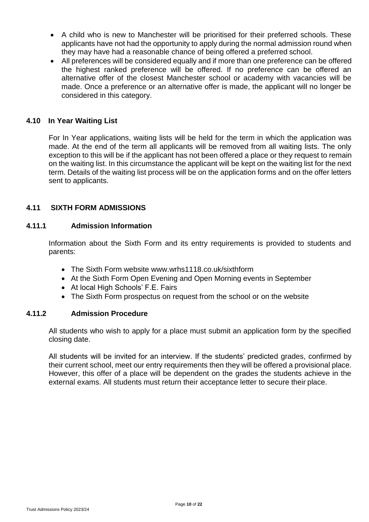- A child who is new to Manchester will be prioritised for their preferred schools. These applicants have not had the opportunity to apply during the normal admission round when they may have had a reasonable chance of being offered a preferred school.
- All preferences will be considered equally and if more than one preference can be offered the highest ranked preference will be offered. If no preference can be offered an alternative offer of the closest Manchester school or academy with vacancies will be made. Once a preference or an alternative offer is made, the applicant will no longer be considered in this category.

#### <span id="page-9-0"></span>**4.10 In Year Waiting List**

For In Year applications, waiting lists will be held for the term in which the application was made. At the end of the term all applicants will be removed from all waiting lists. The only exception to this will be if the applicant has not been offered a place or they request to remain on the waiting list. In this circumstance the applicant will be kept on the waiting list for the next term. Details of the waiting list process will be on the application forms and on the offer letters sent to applicants.

#### **4.11 SIXTH FORM ADMISSIONS**

#### <span id="page-9-1"></span>**4.11.1 Admission Information**

Information about the Sixth Form and its entry requirements is provided to students and parents:

- The Sixth Form website www.wrhs1118.co.uk/sixthform
- At the Sixth Form Open Evening and Open Morning events in September
- At local High Schools' F.E. Fairs
- The Sixth Form prospectus on request from the school or on the website

#### <span id="page-9-2"></span>**4.11.2 Admission Procedure**

All students who wish to apply for a place must submit an application form by the specified closing date.

All students will be invited for an interview. If the students' predicted grades, confirmed by their current school, meet our entry requirements then they will be offered a provisional place. However, this offer of a place will be dependent on the grades the students achieve in the external exams. All students must return their acceptance letter to secure their place.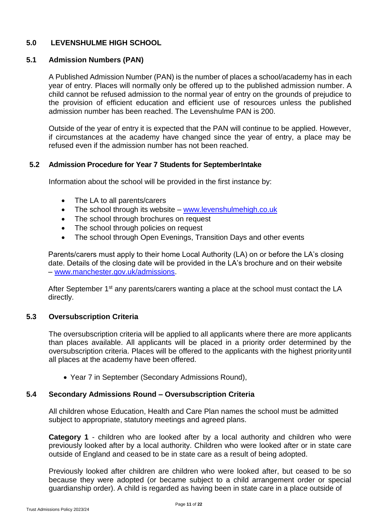#### **5.0 LEVENSHULME HIGH SCHOOL**

#### <span id="page-10-0"></span>**5.1 Admission Numbers (PAN)**

A Published Admission Number (PAN) is the number of places a school/academy has in each year of entry. Places will normally only be offered up to the published admission number. A child cannot be refused admission to the normal year of entry on the grounds of prejudice to the provision of efficient education and efficient use of resources unless the published admission number has been reached. The Levenshulme PAN is 200.

Outside of the year of entry it is expected that the PAN will continue to be applied. However, if circumstances at the academy have changed since the year of entry, a place may be refused even if the admission number has not been reached.

#### <span id="page-10-1"></span>**5.2 Admission Procedure for Year 7 Students for SeptemberIntake**

Information about the school will be provided in the first instance by:

- The LA to all parents/carers
- The school through its website [www.levenshulmehigh.co.uk](http://www.levenshulmehigh.co.uk/)
- The school through brochures on request
- The school through policies on request
- The school through Open Evenings, Transition Days and other events

Parents/carers must apply to their home Local Authority (LA) on or before the LA's closing date. Details of the closing date will be provided in the LA's brochure and on their website – [www.manchester.gov.uk/admissions.](http://www.manchester.gov.uk/admissions)

After September 1<sup>st</sup> any parents/carers wanting a place at the school must contact the LA directly.

#### <span id="page-10-2"></span>**5.3 Oversubscription Criteria**

The oversubscription criteria will be applied to all applicants where there are more applicants than places available. All applicants will be placed in a priority order determined by the oversubscription criteria. Places will be offered to the applicants with the highest priorityuntil all places at the academy have been offered.

• Year 7 in September (Secondary Admissions Round),

#### **5.4 Secondary Admissions Round – Oversubscription Criteria**

All children whose Education, Health and Care Plan names the school must be admitted subject to appropriate, statutory meetings and agreed plans.

**Category 1** - children who are looked after by a local authority and children who were previously looked after by a local authority. Children who were looked after or in state care outside of England and ceased to be in state care as a result of being adopted.

Previously looked after children are children who were looked after, but ceased to be so because they were adopted (or became subject to a child arrangement order or special guardianship order). A child is regarded as having been in state care in a place outside of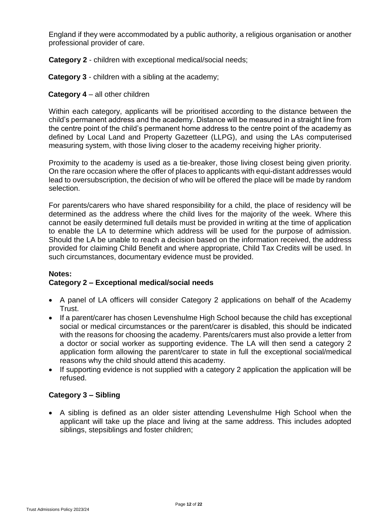England if they were accommodated by a public authority, a religious organisation or another professional provider of care.

**Category 2** - children with exceptional medical/social needs;

**Category 3** - children with a sibling at the academy;

#### **Category 4** – all other children

Within each category, applicants will be prioritised according to the distance between the child's permanent address and the academy. Distance will be measured in a straight line from the centre point of the child's permanent home address to the centre point of the academy as defined by Local Land and Property Gazetteer (LLPG), and using the LAs computerised measuring system, with those living closer to the academy receiving higher priority.

Proximity to the academy is used as a tie-breaker, those living closest being given priority. On the rare occasion where the offer of places to applicants with equi-distant addresses would lead to oversubscription, the decision of who will be offered the place will be made by random selection.

For parents/carers who have shared responsibility for a child, the place of residency will be determined as the address where the child lives for the majority of the week. Where this cannot be easily determined full details must be provided in writing at the time of application to enable the LA to determine which address will be used for the purpose of admission. Should the LA be unable to reach a decision based on the information received, the address provided for claiming Child Benefit and where appropriate, Child Tax Credits will be used. In such circumstances, documentary evidence must be provided.

#### **Notes: Category 2 – Exceptional medical/social needs**

- A panel of LA officers will consider Category 2 applications on behalf of the Academy Trust.
- If a parent/carer has chosen Levenshulme High School because the child has exceptional social or medical circumstances or the parent/carer is disabled, this should be indicated with the reasons for choosing the academy. Parents/carers must also provide a letter from a doctor or social worker as supporting evidence. The LA will then send a category 2 application form allowing the parent/carer to state in full the exceptional social/medical reasons why the child should attend this academy.
- If supporting evidence is not supplied with a category 2 application the application will be refused.

#### **Category 3 – Sibling**

• A sibling is defined as an older sister attending Levenshulme High School when the applicant will take up the place and living at the same address. This includes adopted siblings, stepsiblings and foster children;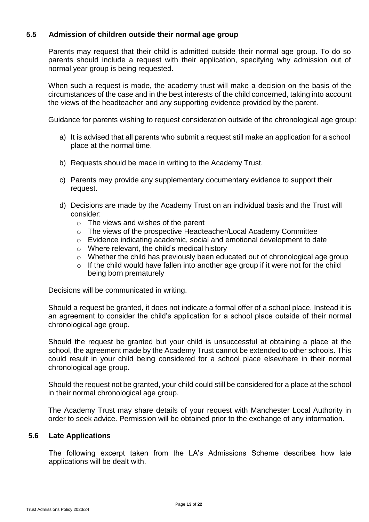#### <span id="page-12-0"></span>**5.5 Admission of children outside their normal age group**

Parents may request that their child is admitted outside their normal age group. To do so parents should include a request with their application, specifying why admission out of normal year group is being requested.

When such a request is made, the academy trust will make a decision on the basis of the circumstances of the case and in the best interests of the child concerned, taking into account the views of the headteacher and any supporting evidence provided by the parent.

Guidance for parents wishing to request consideration outside of the chronological age group:

- a) It is advised that all parents who submit a request still make an application for a school place at the normal time.
- b) Requests should be made in writing to the Academy Trust.
- c) Parents may provide any supplementary documentary evidence to support their request.
- d) Decisions are made by the Academy Trust on an individual basis and the Trust will consider:
	- $\circ$  The views and wishes of the parent
	- o The views of the prospective Headteacher/Local Academy Committee
	- o Evidence indicating academic, social and emotional development to date
	- o Where relevant, the child's medical history
	- o Whether the child has previously been educated out of chronological age group
	- o If the child would have fallen into another age group if it were not for the child being born prematurely

Decisions will be communicated in writing.

Should a request be granted, it does not indicate a formal offer of a school place. Instead it is an agreement to consider the child's application for a school place outside of their normal chronological age group.

Should the request be granted but your child is unsuccessful at obtaining a place at the school, the agreement made by the Academy Trust cannot be extended to other schools. This could result in your child being considered for a school place elsewhere in their normal chronological age group.

Should the request not be granted, your child could still be considered for a place at the school in their normal chronological age group.

The Academy Trust may share details of your request with Manchester Local Authority in order to seek advice. Permission will be obtained prior to the exchange of any information.

#### <span id="page-12-1"></span>**5.6 Late Applications**

The following excerpt taken from the LA's Admissions Scheme describes how late applications will be dealt with.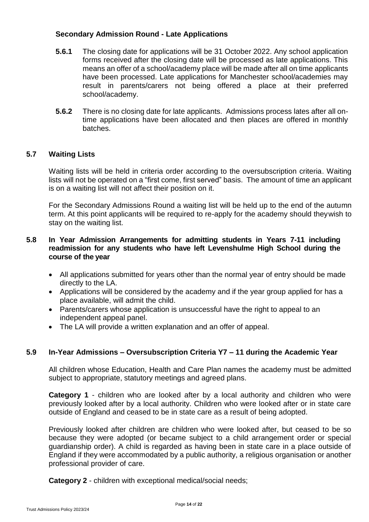#### **Secondary Admission Round - Late Applications**

- **5.6.1** The closing date for applications will be 31 October 2022. Any school application forms received after the closing date will be processed as late applications. This means an offer of a school/academy place will be made after all on time applicants have been processed. Late applications for Manchester school/academies may result in parents/carers not being offered a place at their preferred school/academy.
- **5.6.2** There is no closing date for late applicants. Admissions process lates after all ontime applications have been allocated and then places are offered in monthly batches.

#### <span id="page-13-0"></span>**5.7 Waiting Lists**

Waiting lists will be held in criteria order according to the oversubscription criteria. Waiting lists will not be operated on a "first come, first served" basis. The amount of time an applicant is on a waiting list will not affect their position on it.

For the Secondary Admissions Round a waiting list will be held up to the end of the autumn term. At this point applicants will be required to re-apply for the academy should theywish to stay on the waiting list.

#### **5.8 In Year Admission Arrangements for admitting students in Years 7-11 including readmission for any students who have left Levenshulme High School during the course of the year**

- All applications submitted for years other than the normal year of entry should be made directly to the LA.
- Applications will be considered by the academy and if the year group applied for has a place available, will admit the child.
- Parents/carers whose application is unsuccessful have the right to appeal to an independent appeal panel.
- The LA will provide a written explanation and an offer of appeal.

#### **5.9 In-Year Admissions – Oversubscription Criteria Y7 – 11 during the Academic Year**

All children whose Education, Health and Care Plan names the academy must be admitted subject to appropriate, statutory meetings and agreed plans.

**Category 1** - children who are looked after by a local authority and children who were previously looked after by a local authority. Children who were looked after or in state care outside of England and ceased to be in state care as a result of being adopted.

Previously looked after children are children who were looked after, but ceased to be so because they were adopted (or became subject to a child arrangement order or special guardianship order). A child is regarded as having been in state care in a place outside of England if they were accommodated by a public authority, a religious organisation or another professional provider of care.

**Category 2** - children with exceptional medical/social needs;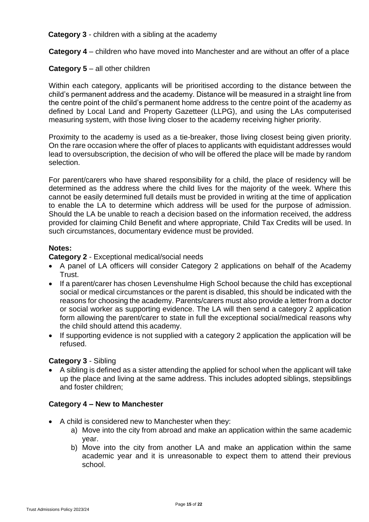**Category 3** - children with a sibling at the academy

**Category 4** *–* children who have moved into Manchester and are without an offer of a place

#### **Category 5** – all other children

Within each category, applicants will be prioritised according to the distance between the child's permanent address and the academy. Distance will be measured in a straight line from the centre point of the child's permanent home address to the centre point of the academy as defined by Local Land and Property Gazetteer (LLPG), and using the LAs computerised measuring system, with those living closer to the academy receiving higher priority.

Proximity to the academy is used as a tie-breaker, those living closest being given priority. On the rare occasion where the offer of places to applicants with equidistant addresses would lead to oversubscription, the decision of who will be offered the place will be made by random selection.

For parent/carers who have shared responsibility for a child, the place of residency will be determined as the address where the child lives for the majority of the week. Where this cannot be easily determined full details must be provided in writing at the time of application to enable the LA to determine which address will be used for the purpose of admission. Should the LA be unable to reach a decision based on the information received, the address provided for claiming Child Benefit and where appropriate, Child Tax Credits will be used. In such circumstances, documentary evidence must be provided.

#### **Notes:**

**Category 2** - Exceptional medical/social needs

- A panel of LA officers will consider Category 2 applications on behalf of the Academy Trust.
- If a parent/carer has chosen Levenshulme High School because the child has exceptional social or medical circumstances or the parent is disabled, this should be indicated with the reasons for choosing the academy. Parents/carers must also provide a letter from a doctor or social worker as supporting evidence. The LA will then send a category 2 application form allowing the parent/carer to state in full the exceptional social/medical reasons why the child should attend this academy.
- If supporting evidence is not supplied with a category 2 application the application will be refused.

#### **Category 3** - Sibling

• A sibling is defined as a sister attending the applied for school when the applicant will take up the place and living at the same address. This includes adopted siblings, stepsiblings and foster children;

#### **Category 4 – New to Manchester**

- A child is considered new to Manchester when they:
	- a) Move into the city from abroad and make an application within the same academic year.
	- b) Move into the city from another LA and make an application within the same academic year and it is unreasonable to expect them to attend their previous school.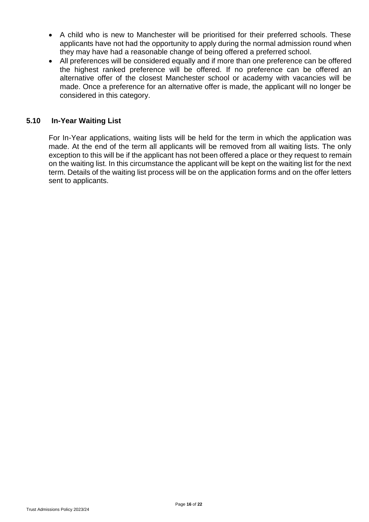- A child who is new to Manchester will be prioritised for their preferred schools. These applicants have not had the opportunity to apply during the normal admission round when they may have had a reasonable change of being offered a preferred school.
- All preferences will be considered equally and if more than one preference can be offered the highest ranked preference will be offered. If no preference can be offered an alternative offer of the closest Manchester school or academy with vacancies will be made. Once a preference for an alternative offer is made, the applicant will no longer be considered in this category.

#### <span id="page-15-0"></span>**5.10 In-Year Waiting List**

For In-Year applications, waiting lists will be held for the term in which the application was made. At the end of the term all applicants will be removed from all waiting lists. The only exception to this will be if the applicant has not been offered a place or they request to remain on the waiting list. In this circumstance the applicant will be kept on the waiting list for the next term. Details of the waiting list process will be on the application forms and on the offer letters sent to applicants.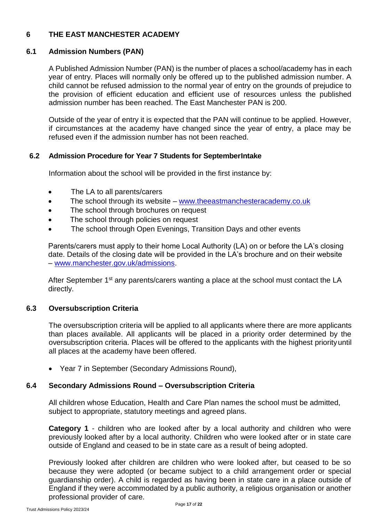#### <span id="page-16-0"></span>**6 THE EAST MANCHESTER ACADEMY**

#### <span id="page-16-1"></span>**6.1 Admission Numbers (PAN)**

A Published Admission Number (PAN) is the number of places a school/academy has in each year of entry. Places will normally only be offered up to the published admission number. A child cannot be refused admission to the normal year of entry on the grounds of prejudice to the provision of efficient education and efficient use of resources unless the published admission number has been reached. The East Manchester PAN is 200.

Outside of the year of entry it is expected that the PAN will continue to be applied. However, if circumstances at the academy have changed since the year of entry, a place may be refused even if the admission number has not been reached.

#### <span id="page-16-2"></span>**6.2 Admission Procedure for Year 7 Students for SeptemberIntake**

Information about the school will be provided in the first instance by:

- The LA to all parents/carers
- The school through its website [www.theeastmanchesteracademy.co.uk](http://www.theeastmanchesteracademy.co.uk/)
- The school through brochures on request
- The school through policies on request
- The school through Open Evenings, Transition Days and other events

Parents/carers must apply to their home Local Authority (LA) on or before the LA's closing date. Details of the closing date will be provided in the LA's brochure and on their website – [www.manchester.gov.uk/admissions.](http://www.manchester.gov.uk/admissions)

After September 1<sup>st</sup> any parents/carers wanting a place at the school must contact the LA directly.

#### <span id="page-16-3"></span>**6.3 Oversubscription Criteria**

The oversubscription criteria will be applied to all applicants where there are more applicants than places available. All applicants will be placed in a priority order determined by the oversubscription criteria. Places will be offered to the applicants with the highest priorityuntil all places at the academy have been offered.

• Year 7 in September (Secondary Admissions Round),

#### **6.4 Secondary Admissions Round – Oversubscription Criteria**

All children whose Education, Health and Care Plan names the school must be admitted, subject to appropriate, statutory meetings and agreed plans.

**Category 1** - children who are looked after by a local authority and children who were previously looked after by a local authority. Children who were looked after or in state care outside of England and ceased to be in state care as a result of being adopted.

Previously looked after children are children who were looked after, but ceased to be so because they were adopted (or became subject to a child arrangement order or special guardianship order). A child is regarded as having been in state care in a place outside of England if they were accommodated by a public authority, a religious organisation or another professional provider of care.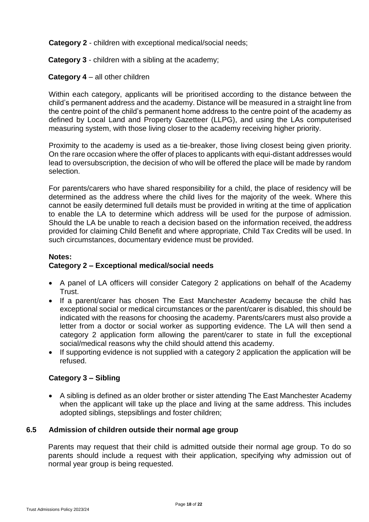**Category 2** - children with exceptional medical/social needs;

**Category 3** - children with a sibling at the academy;

#### **Category 4** – all other children

Within each category, applicants will be prioritised according to the distance between the child's permanent address and the academy. Distance will be measured in a straight line from the centre point of the child's permanent home address to the centre point of the academy as defined by Local Land and Property Gazetteer (LLPG), and using the LAs computerised measuring system, with those living closer to the academy receiving higher priority.

Proximity to the academy is used as a tie-breaker, those living closest being given priority. On the rare occasion where the offer of places to applicants with equi-distant addresses would lead to oversubscription, the decision of who will be offered the place will be made by random selection.

For parents/carers who have shared responsibility for a child, the place of residency will be determined as the address where the child lives for the majority of the week. Where this cannot be easily determined full details must be provided in writing at the time of application to enable the LA to determine which address will be used for the purpose of admission. Should the LA be unable to reach a decision based on the information received, theaddress provided for claiming Child Benefit and where appropriate, Child Tax Credits will be used. In such circumstances, documentary evidence must be provided.

#### **Notes: Category 2 – Exceptional medical/social needs**

- A panel of LA officers will consider Category 2 applications on behalf of the Academy Trust.
- If a parent/carer has chosen The East Manchester Academy because the child has exceptional social or medical circumstances or the parent/carer is disabled, this should be indicated with the reasons for choosing the academy. Parents/carers must also provide a letter from a doctor or social worker as supporting evidence. The LA will then send a category 2 application form allowing the parent/carer to state in full the exceptional social/medical reasons why the child should attend this academy.
- If supporting evidence is not supplied with a category 2 application the application will be refused.

#### **Category 3 – Sibling**

• A sibling is defined as an older brother or sister attending The East Manchester Academy when the applicant will take up the place and living at the same address. This includes adopted siblings, stepsiblings and foster children;

#### <span id="page-17-0"></span>**6.5 Admission of children outside their normal age group**

Parents may request that their child is admitted outside their normal age group. To do so parents should include a request with their application, specifying why admission out of normal year group is being requested.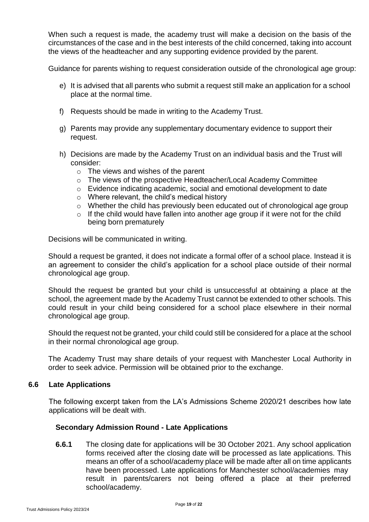When such a request is made, the academy trust will make a decision on the basis of the circumstances of the case and in the best interests of the child concerned, taking into account the views of the headteacher and any supporting evidence provided by the parent.

Guidance for parents wishing to request consideration outside of the chronological age group:

- e) It is advised that all parents who submit a request still make an application for a school place at the normal time.
- f) Requests should be made in writing to the Academy Trust.
- g) Parents may provide any supplementary documentary evidence to support their request.
- h) Decisions are made by the Academy Trust on an individual basis and the Trust will consider:
	- $\circ$  The views and wishes of the parent
	- o The views of the prospective Headteacher/Local Academy Committee
	- o Evidence indicating academic, social and emotional development to date
	- o Where relevant, the child's medical history
	- o Whether the child has previously been educated out of chronological age group
	- o If the child would have fallen into another age group if it were not for the child being born prematurely

Decisions will be communicated in writing.

Should a request be granted, it does not indicate a formal offer of a school place. Instead it is an agreement to consider the child's application for a school place outside of their normal chronological age group.

Should the request be granted but your child is unsuccessful at obtaining a place at the school, the agreement made by the Academy Trust cannot be extended to other schools. This could result in your child being considered for a school place elsewhere in their normal chronological age group.

Should the request not be granted, your child could still be considered for a place at the school in their normal chronological age group.

The Academy Trust may share details of your request with Manchester Local Authority in order to seek advice. Permission will be obtained prior to the exchange.

#### <span id="page-18-0"></span>**6.6 Late Applications**

The following excerpt taken from the LA's Admissions Scheme 2020/21 describes how late applications will be dealt with.

#### **Secondary Admission Round - Late Applications**

**6.6.1** The closing date for applications will be 30 October 2021. Any school application forms received after the closing date will be processed as late applications. This means an offer of a school/academy place will be made after all on time applicants have been processed. Late applications for Manchester school/academies may result in parents/carers not being offered a place at their preferred school/academy.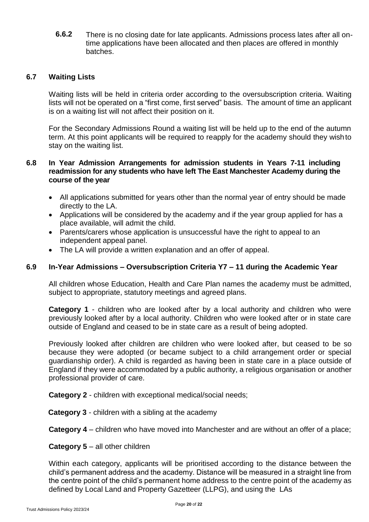**6.6.2** There is no closing date for late applicants. Admissions process lates after all ontime applications have been allocated and then places are offered in monthly batches.

#### <span id="page-19-0"></span>**6.7 Waiting Lists**

Waiting lists will be held in criteria order according to the oversubscription criteria. Waiting lists will not be operated on a "first come, first served" basis. The amount of time an applicant is on a waiting list will not affect their position on it.

For the Secondary Admissions Round a waiting list will be held up to the end of the autumn term. At this point applicants will be required to reapply for the academy should they wishto stay on the waiting list.

#### **6.8 In Year Admission Arrangements for admission students in Years 7-11 including readmission for any students who have left The East Manchester Academy during the course of the year**

- All applications submitted for years other than the normal year of entry should be made directly to the LA.
- Applications will be considered by the academy and if the year group applied for has a place available, will admit the child.
- Parents/carers whose application is unsuccessful have the right to appeal to an independent appeal panel.
- The LA will provide a written explanation and an offer of appeal.

#### **6.9 In-Year Admissions – Oversubscription Criteria Y7 – 11 during the Academic Year**

All children whose Education, Health and Care Plan names the academy must be admitted, subject to appropriate, statutory meetings and agreed plans.

**Category 1** - children who are looked after by a local authority and children who were previously looked after by a local authority. Children who were looked after or in state care outside of England and ceased to be in state care as a result of being adopted.

Previously looked after children are children who were looked after, but ceased to be so because they were adopted (or became subject to a child arrangement order or special guardianship order). A child is regarded as having been in state care in a place outside of England if they were accommodated by a public authority, a religious organisation or another professional provider of care.

**Category 2** - children with exceptional medical/social needs;

**Category 3** - children with a sibling at the academy

**Category 4** *–* children who have moved into Manchester and are without an offer of a place;

#### **Category 5 – all other children**

Within each category, applicants will be prioritised according to the distance between the child's permanent address and the academy. Distance will be measured in a straight line from the centre point of the child's permanent home address to the centre point of the academy as defined by Local Land and Property Gazetteer (LLPG), and using the LAs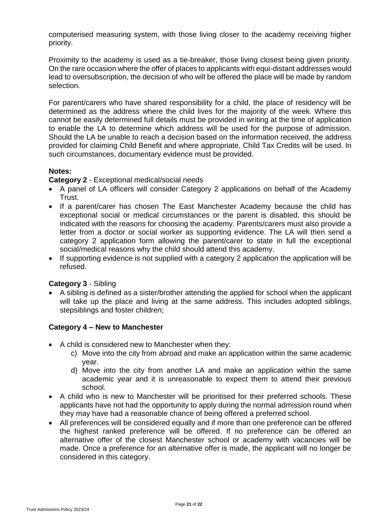computerised measuring system, with those living closer to the academy receiving higher priority.

Proximity to the academy is used as a tie-breaker, those living closest being given priority. On the rare occasion where the offer of places to applicants with equi-distant addresses would lead to oversubscription, the decision of who will be offered the place will be made by random selection.

For parent/carers who have shared responsibility for a child, the place of residency will be determined as the address where the child lives for the majority of the week. Where this cannot be easily determined full details must be provided in writing at the time of application to enable the LA to determine which address will be used for the purpose of admission. Should the LA be unable to reach a decision based on the information received, the address provided for claiming Child Benefit and where appropriate, Child Tax Credits will be used. In such circumstances, documentary evidence must be provided.

#### **Notes:**

**Category 2** - Exceptional medical/social needs

- A panel of LA officers will consider Category 2 applications on behalf of the Academy Trust.
- If a parent/carer has chosen The East Manchester Academy because the child has exceptional social or medical circumstances or the parent is disabled, this should be indicated with the reasons for choosing the academy. Parents/carers must also provide a letter from a doctor or social worker as supporting evidence. The LA will then send a category 2 application form allowing the parent/carer to state in full the exceptional social/medical reasons why the child should attend this academy.
- If supporting evidence is not supplied with a category 2 application the application will be refused.

#### **Category 3** - Sibling

• A sibling is defined as a sister/brother attending the applied for school when the applicant will take up the place and living at the same address. This includes adopted siblings, stepsiblings and foster children;

#### **Category 4 – New to Manchester**

- A child is considered new to Manchester when they:
	- c) Move into the city from abroad and make an application within the same academic year.
	- d) Move into the city from another LA and make an application within the same academic year and it is unreasonable to expect them to attend their previous school.
- A child who is new to Manchester will be prioritised for their preferred schools. These applicants have not had the opportunity to apply during the normal admission round when they may have had a reasonable chance of being offered a preferred school.
- All preferences will be considered equally and if more than one preference can be offered the highest ranked preference will be offered. If no preference can be offered an alternative offer of the closest Manchester school or academy with vacancies will be made. Once a preference for an alternative offer is made, the applicant will no longer be considered in this category.